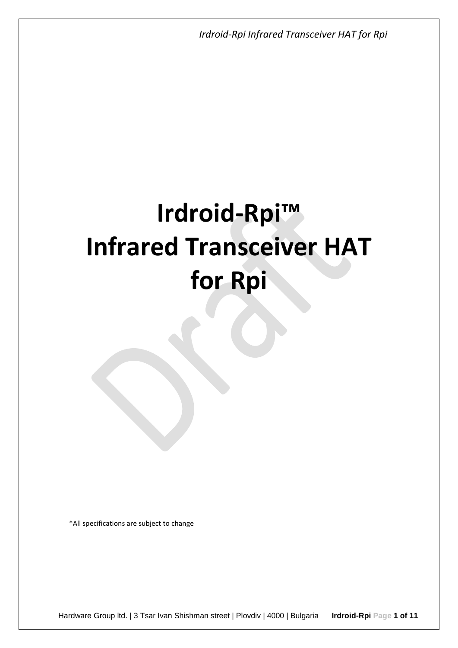# **Irdroid-Rpi™ Infrared Transceiver HAT for Rpi**

\*All specifications are subject to change

Hardware Group ltd. | 3 Tsar Ivan Shishman street | Plovdiv | 4000 | Bulgaria **Irdroid-Rpi Page 1 of 11**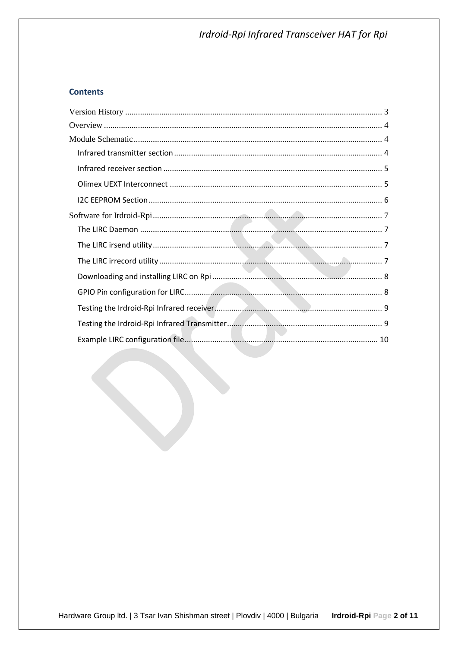### **Contents**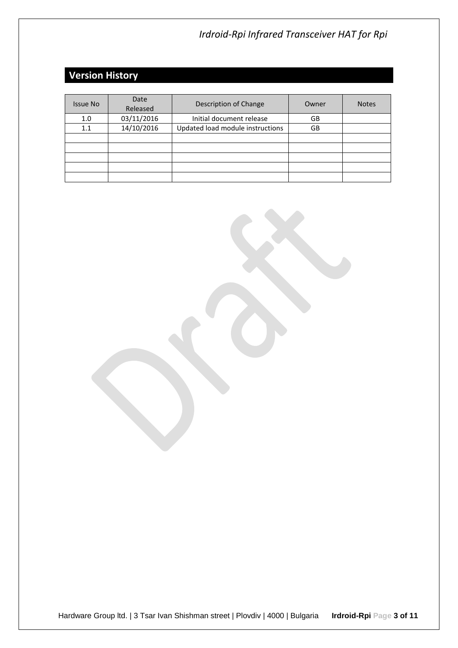# <span id="page-2-0"></span>**Version History**

| <b>Issue No</b> | Date<br>Released | Description of Change            | Owner | <b>Notes</b> |
|-----------------|------------------|----------------------------------|-------|--------------|
| 1.0             | 03/11/2016       | Initial document release         | GB    |              |
| 1.1             | 14/10/2016       | Updated load module instructions | GB    |              |
|                 |                  |                                  |       |              |
|                 |                  |                                  |       |              |
|                 |                  |                                  |       |              |
|                 |                  |                                  |       |              |
|                 |                  |                                  |       |              |

Hardware Group ltd. | 3 Tsar Ivan Shishman street | Plovdiv | 4000 | Bulgaria **Irdroid-Rpi Page 3 of 11**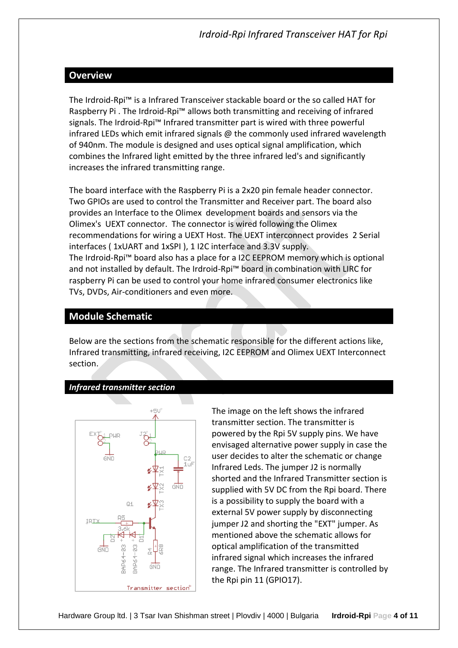# <span id="page-3-0"></span>**Overview**

The Irdroid-Rpi™ is a Infrared Transceiver stackable board or the so called HAT for Raspberry Pi . The Irdroid-Rpi™ allows both transmitting and receiving of infrared signals. The Irdroid-Rpi™ Infrared transmitter part is wired with three powerful infrared LEDs which emit infrared signals  $\omega$  the commonly used infrared wavelength of 940nm. The module is designed and uses optical signal amplification, which combines the Infrared light emitted by the three infrared led's and significantly increases the infrared transmitting range.

The board interface with the Raspberry Pi is a 2x20 pin female header connector. Two GPIOs are used to control the Transmitter and Receiver part. The board also provides an Interface to the Olimex development boards and sensors via the Olimex's UEXT connector. The connector is wired following the Olimex recommendations for wiring a UEXT Host. The UEXT interconnect provides 2 Serial interfaces ( 1xUART and 1xSPI ), 1 I2C interface and 3.3V supply. The Irdroid-Rpi™ board also has a place for a I2C EEPROM memory which is optional and not installed by default. The Irdroid-Rpi™ board in combination with LIRC for raspberry Pi can be used to control your home infrared consumer electronics like TVs, DVDs, Air-conditioners and even more.

# <span id="page-3-1"></span>**Module Schematic**

Below are the sections from the schematic responsible for the different actions like, Infrared transmitting, infrared receiving, I2C EEPROM and Olimex UEXT Interconnect section.

#### <span id="page-3-2"></span>*Infrared transmitter section*



The image on the left shows the infrared transmitter section. The transmitter is powered by the Rpi 5V supply pins. We have envisaged alternative power supply in case the user decides to alter the schematic or change Infrared Leds. The jumper J2 is normally shorted and the Infrared Transmitter section is supplied with 5V DC from the Rpi board. There is a possibility to supply the board with a external 5V power supply by disconnecting jumper J2 and shorting the "EXT" jumper. As mentioned above the schematic allows for optical amplification of the transmitted infrared signal which increases the infrared range. The Infrared transmitter is controlled by the Rpi pin 11 (GPIO17).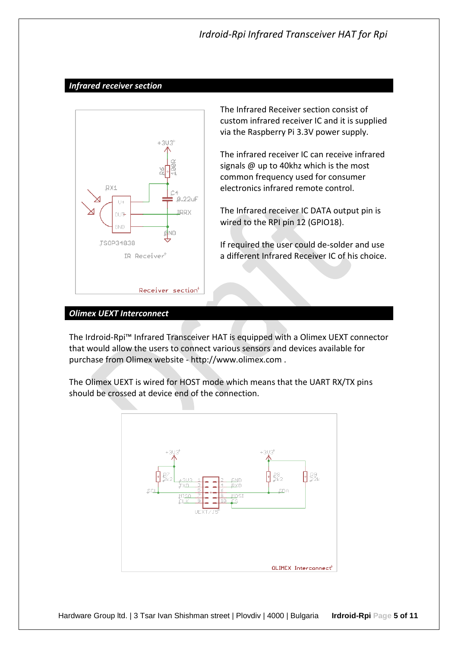#### <span id="page-4-0"></span>*Infrared receiver section*



The Infrared Receiver section consist of custom infrared receiver IC and it is supplied via the Raspberry Pi 3.3V power supply.

The infrared receiver IC can receive infrared signals @ up to 40khz which is the most common frequency used for consumer electronics infrared remote control.

The Infrared receiver IC DATA output pin is wired to the RPI pin 12 (GPIO18).

If required the user could de-solder and use a different Infrared Receiver IC of his choice.

#### <span id="page-4-1"></span>*Olimex UEXT Interconnect*

The Irdroid-Rpi™ Infrared Transceiver HAT is equipped with a Olimex UEXT connector that would allow the users to connect various sensors and devices available for purchase from Olimex website - http://www.olimex.com .

The Olimex UEXT is wired for HOST mode which means that the UART RX/TX pins should be crossed at device end of the connection.

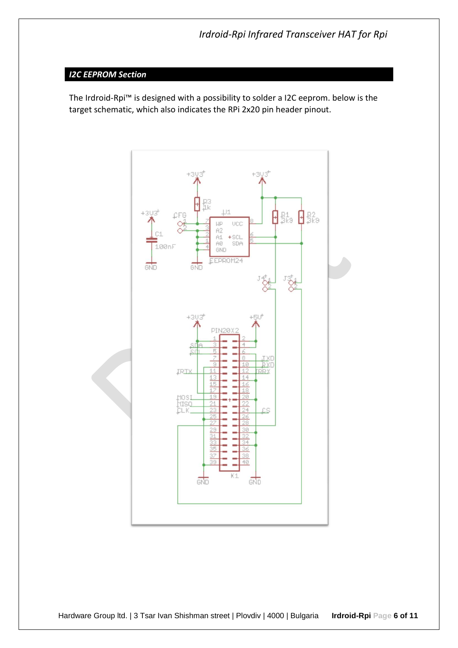# <span id="page-5-0"></span>*I2C EEPROM Section*

The Irdroid-Rpi™ is designed with a possibility to solder a I2C eeprom. below is the target schematic, which also indicates the RPi 2x20 pin header pinout.

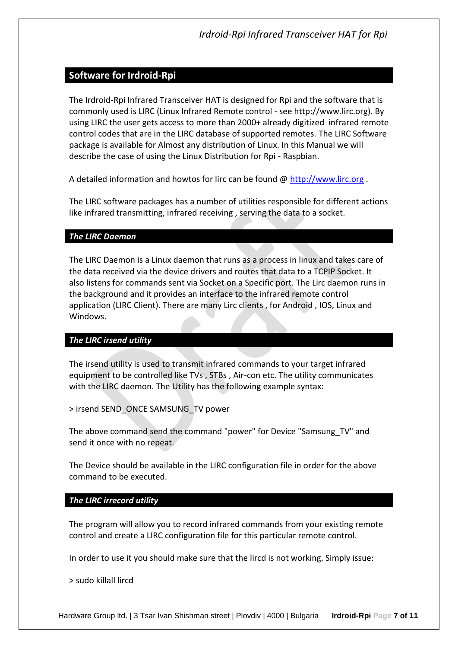# <span id="page-6-0"></span>**Software for Irdroid-Rpi**

The Irdroid-Rpi Infrared Transceiver HAT is designed for Rpi and the software that is commonly used is LIRC (Linux Infrared Remote control - see http://www.lirc.org). By using LIRC the user gets access to more than 2000+ already digitized infrared remote control codes that are in the LIRC database of supported remotes. The LIRC Software package is available for Almost any distribution of Linux. In this Manual we will describe the case of using the Linux Distribution for Rpi - Raspbian.

A detailed information and howtos for lirc can be found @ [http://www.lirc.org](http://www.lirc.org/) .

The LIRC software packages has a number of utilities responsible for different actions like infrared transmitting, infrared receiving , serving the data to a socket.

#### <span id="page-6-1"></span>*The LIRC Daemon*

The LIRC Daemon is a Linux daemon that runs as a process in linux and takes care of the data received via the device drivers and routes that data to a TCPIP Socket. It also listens for commands sent via Socket on a Specific port. The Lirc daemon runs in the background and it provides an interface to the infrared remote control application (LIRC Client). There are many Lirc clients , for Android , IOS, Linux and Windows.

## <span id="page-6-2"></span>*The LIRC irsend utility*

The irsend utility is used to transmit infrared commands to your target infrared equipment to be controlled like TVs , STBs , Air-con etc. The utility communicates with the LIRC daemon. The Utility has the following example syntax:

> irsend SEND\_ONCE SAMSUNG\_TV power

The above command send the command "power" for Device "Samsung\_TV" and send it once with no repeat.

The Device should be available in the LIRC configuration file in order for the above command to be executed.

## <span id="page-6-3"></span>*The LIRC irrecord utility*

The program will allow you to record infrared commands from your existing remote control and create a LIRC configuration file for this particular remote control.

In order to use it you should make sure that the lircd is not working. Simply issue:

> sudo killall lircd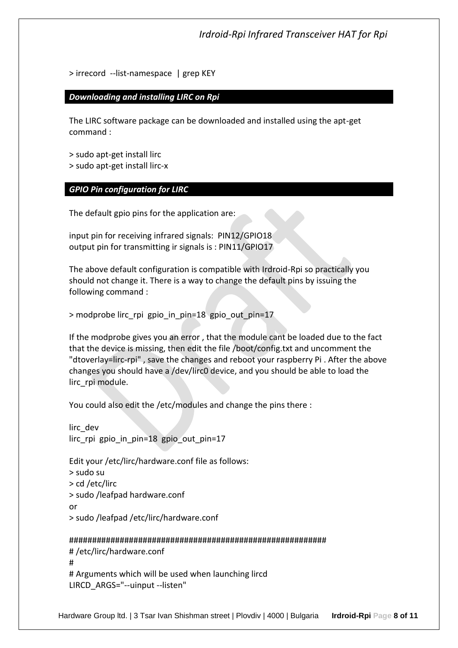> irrecord --list-namespace | grep KEY

<span id="page-7-0"></span>*Downloading and installing LIRC on Rpi*

The LIRC software package can be downloaded and installed using the apt-get command :

> sudo apt-get install lirc > sudo apt-get install lirc-x

<span id="page-7-1"></span>*GPIO Pin configuration for LIRC*

The default gpio pins for the application are:

input pin for receiving infrared signals: PIN12/GPIO18 output pin for transmitting ir signals is : PIN11/GPIO17

The above default configuration is compatible with Irdroid-Rpi so practically you should not change it. There is a way to change the default pins by issuing the following command :

> modprobe lirc\_rpi gpio\_in\_pin=18 gpio\_out\_pin=17

If the modprobe gives you an error , that the module cant be loaded due to the fact that the device is missing, then edit the file /boot/config.txt and uncomment the "dtoverlay=lirc-rpi" , save the changes and reboot your raspberry Pi . After the above changes you should have a /dev/lirc0 device, and you should be able to load the lirc\_rpi module.

You could also edit the /etc/modules and change the pins there :

```
lirc_dev
lirc rpi gpio in pin=18 gpio out pin=17
```
Edit your /etc/lirc/hardware.conf file as follows: > sudo su > cd /etc/lirc > sudo /leafpad hardware.conf or > sudo /leafpad /etc/lirc/hardware.conf

#### ########################################################

```
# /etc/lirc/hardware.conf
#
# Arguments which will be used when launching lircd
LIRCD_ARGS="--uinput --listen"
```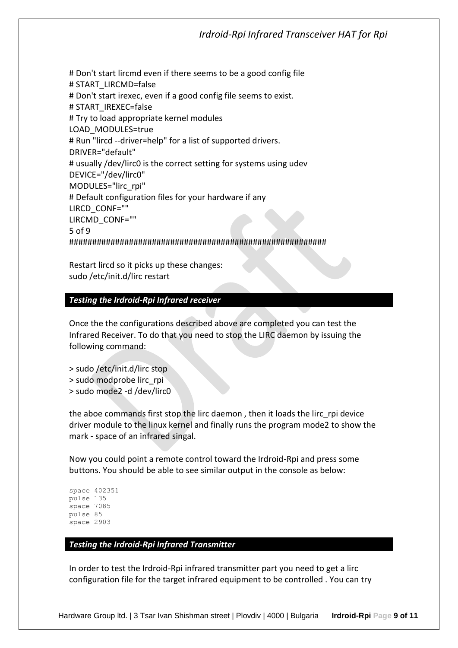# Don't start lircmd even if there seems to be a good config file # START\_LIRCMD=false # Don't start irexec, even if a good config file seems to exist. # START\_IREXEC=false # Try to load appropriate kernel modules LOAD\_MODULES=true # Run "lircd --driver=help" for a list of supported drivers. DRIVER="default" # usually /dev/lirc0 is the correct setting for systems using udev DEVICE="/dev/lirc0" MODULES="lirc\_rpi" # Default configuration files for your hardware if any LIRCD\_CONF="" LIRCMD\_CONF="" 5 of 9 ########################################################

Restart lircd so it picks up these changes: sudo /etc/init.d/lirc restart

#### <span id="page-8-0"></span>*Testing the Irdroid-Rpi Infrared receiver*

Once the the configurations described above are completed you can test the Infrared Receiver. To do that you need to stop the LIRC daemon by issuing the following command:

- > sudo /etc/init.d/lirc stop
- > sudo modprobe lirc\_rpi
- > sudo mode2 -d /dev/lirc0

the aboe commands first stop the lirc daemon , then it loads the lirc\_rpi device driver module to the linux kernel and finally runs the program mode2 to show the mark - space of an infrared singal.

Now you could point a remote control toward the Irdroid-Rpi and press some buttons. You should be able to see similar output in the console as below:

```
space 402351
pulse 135
space 7085
pulse 85
space 2903
```
#### <span id="page-8-1"></span>*Testing the Irdroid-Rpi Infrared Transmitter*

In order to test the Irdroid-Rpi infrared transmitter part you need to get a lirc configuration file for the target infrared equipment to be controlled . You can try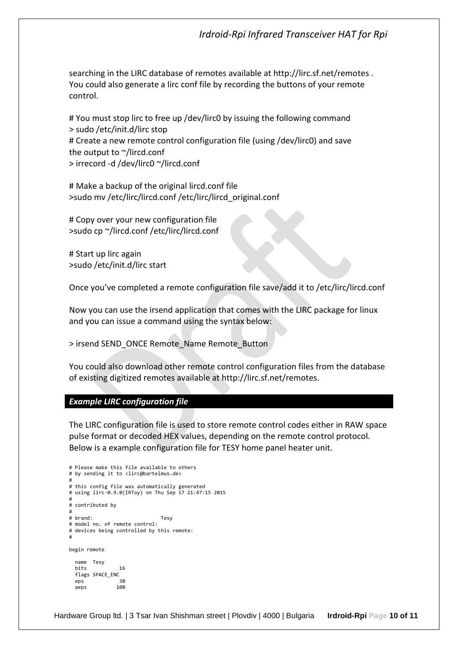searching in the LIRC database of remotes available at http://lirc.sf.net/remotes . You could also generate a lirc conf file by recording the buttons of your remote control.

# You must stop lirc to free up /dev/lirc0 by issuing the following command > sudo /etc/init.d/lirc stop # Create a new remote control configuration file (using /dev/lirc0) and save the output to ~/lircd.conf > irrecord -d /dev/lirc0 ~/lircd.conf

# Make a backup of the original lircd.conf file >sudo mv /etc/lirc/lircd.conf /etc/lirc/lircd\_original.conf

# Copy over your new configuration file >sudo cp ~/lircd.conf /etc/lirc/lircd.conf

# Start up lirc again >sudo /etc/init.d/lirc start

Once you've completed a remote configuration file save/add it to /etc/lirc/lircd.conf

Now you can use the irsend application that comes with the LIRC package for linux and you can issue a command using the syntax below:

> irsend SEND\_ONCE Remote\_Name Remote\_Button

You could also download other remote control configuration files from the database of existing digitized remotes available at http://lirc.sf.net/remotes.

#### <span id="page-9-0"></span>*Example LIRC configuration file*

The LIRC configuration file is used to store remote control codes either in RAW space pulse format or decoded HEX values, depending on the remote control protocol. Below is a example configuration file for TESY home panel heater unit.

```
# Please make this file available to others
# by sending it to <lirc@bartelmus.de>
#
# this config file was automatically generated
# using lirc-0.9.0(IRToy) on Thu Sep 17 21:47:15 2015
#
# contributed by 
#
# brand: Tesy
# model no. of remote control: 
# devices being controlled by this remote:
#
begin remote
   name Tesy
  bits 16
  flags SPACE_ENC<br>eps 30
  eps 30<br>aens 100
  aeps
```
Hardware Group ltd. | 3 Tsar Ivan Shishman street | Plovdiv | 4000 | Bulgaria **Irdroid-Rpi Page 10 of 11**